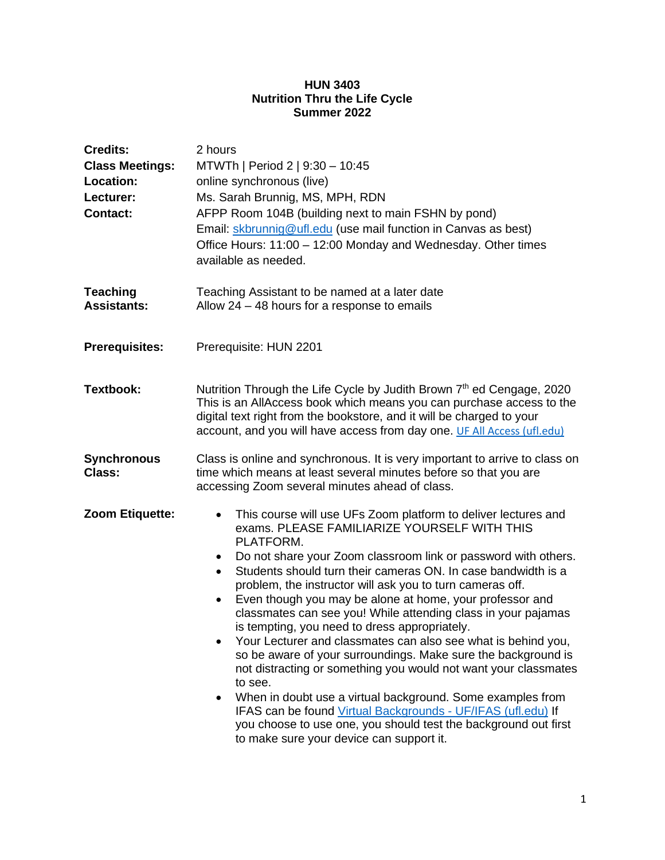#### **HUN 3403 Nutrition Thru the Life Cycle Summer 2022**

| <b>Credits:</b><br><b>Class Meetings:</b><br>Location:<br>Lecturer:<br><b>Contact:</b> | 2 hours<br>MTWTh   Period 2   9:30 - 10:45<br>online synchronous (live)<br>Ms. Sarah Brunnig, MS, MPH, RDN<br>AFPP Room 104B (building next to main FSHN by pond)<br>Email: skbrunnig@ufl.edu (use mail function in Canvas as best)<br>Office Hours: 11:00 - 12:00 Monday and Wednesday. Other times<br>available as needed.                                                                                                                                                                                                                                                                                                                                                                                                                                                                                                                                                                                                                                                                                  |  |
|----------------------------------------------------------------------------------------|---------------------------------------------------------------------------------------------------------------------------------------------------------------------------------------------------------------------------------------------------------------------------------------------------------------------------------------------------------------------------------------------------------------------------------------------------------------------------------------------------------------------------------------------------------------------------------------------------------------------------------------------------------------------------------------------------------------------------------------------------------------------------------------------------------------------------------------------------------------------------------------------------------------------------------------------------------------------------------------------------------------|--|
| <b>Teaching</b><br><b>Assistants:</b>                                                  | Teaching Assistant to be named at a later date<br>Allow $24 - 48$ hours for a response to emails                                                                                                                                                                                                                                                                                                                                                                                                                                                                                                                                                                                                                                                                                                                                                                                                                                                                                                              |  |
| <b>Prerequisites:</b>                                                                  | Prerequisite: HUN 2201                                                                                                                                                                                                                                                                                                                                                                                                                                                                                                                                                                                                                                                                                                                                                                                                                                                                                                                                                                                        |  |
| <b>Textbook:</b>                                                                       | Nutrition Through the Life Cycle by Judith Brown 7 <sup>th</sup> ed Cengage, 2020<br>This is an AllAccess book which means you can purchase access to the<br>digital text right from the bookstore, and it will be charged to your<br>account, and you will have access from day one. UF All Access (ufl.edu)                                                                                                                                                                                                                                                                                                                                                                                                                                                                                                                                                                                                                                                                                                 |  |
| <b>Synchronous</b><br>Class:                                                           | Class is online and synchronous. It is very important to arrive to class on<br>time which means at least several minutes before so that you are<br>accessing Zoom several minutes ahead of class.                                                                                                                                                                                                                                                                                                                                                                                                                                                                                                                                                                                                                                                                                                                                                                                                             |  |
| Zoom Etiquette:                                                                        | This course will use UFs Zoom platform to deliver lectures and<br>$\bullet$<br>exams. PLEASE FAMILIARIZE YOURSELF WITH THIS<br>PLATFORM.<br>Do not share your Zoom classroom link or password with others.<br>$\bullet$<br>Students should turn their cameras ON. In case bandwidth is a<br>$\bullet$<br>problem, the instructor will ask you to turn cameras off.<br>Even though you may be alone at home, your professor and<br>classmates can see you! While attending class in your pajamas<br>is tempting, you need to dress appropriately.<br>Your Lecturer and classmates can also see what is behind you,<br>so be aware of your surroundings. Make sure the background is<br>not distracting or something you would not want your classmates<br>to see.<br>When in doubt use a virtual background. Some examples from<br>IFAS can be found Virtual Backgrounds - UF/IFAS (ufl.edu) If<br>you choose to use one, you should test the background out first<br>to make sure your device can support it. |  |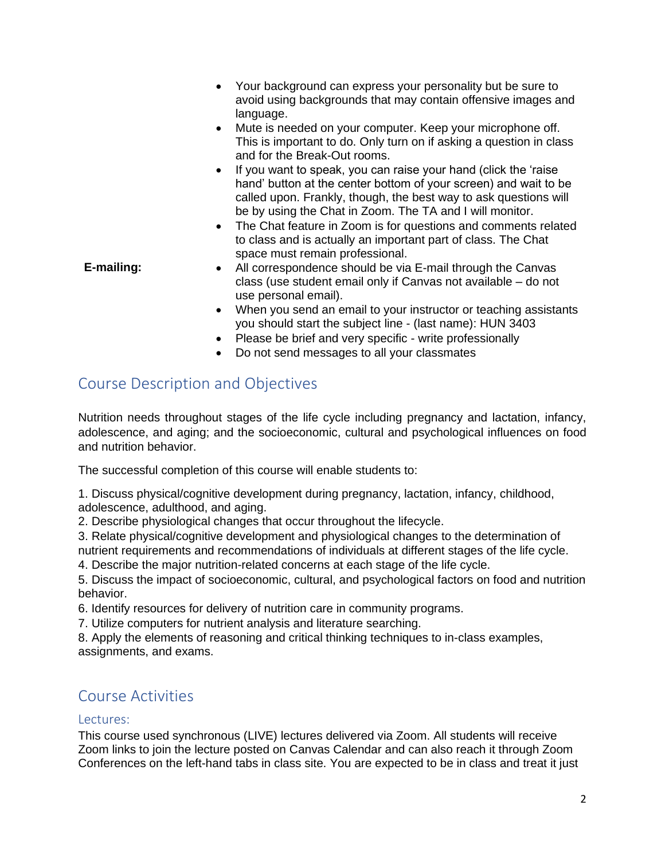- Your background can express your personality but be sure to avoid using backgrounds that may contain offensive images and language.
- Mute is needed on your computer. Keep your microphone off. This is important to do. Only turn on if asking a question in class and for the Break-Out rooms.
- If you want to speak, you can raise your hand (click the 'raise hand' button at the center bottom of your screen) and wait to be called upon. Frankly, though, the best way to ask questions will be by using the Chat in Zoom. The TA and I will monitor.
- The Chat feature in Zoom is for questions and comments related to class and is actually an important part of class. The Chat space must remain professional.
- **E-mailing:** All correspondence should be via E-mail through the Canvas class (use student email only if Canvas not available – do not use personal email).
	- When you send an email to your instructor or teaching assistants you should start the subject line - (last name): HUN 3403
	- Please be brief and very specific write professionally
	- Do not send messages to all your classmates

# Course Description and Objectives

Nutrition needs throughout stages of the life cycle including pregnancy and lactation, infancy, adolescence, and aging; and the socioeconomic, cultural and psychological influences on food and nutrition behavior.

The successful completion of this course will enable students to:

1. Discuss physical/cognitive development during pregnancy, lactation, infancy, childhood, adolescence, adulthood, and aging.

2. Describe physiological changes that occur throughout the lifecycle.

3. Relate physical/cognitive development and physiological changes to the determination of nutrient requirements and recommendations of individuals at different stages of the life cycle.

4. Describe the major nutrition-related concerns at each stage of the life cycle.

5. Discuss the impact of socioeconomic, cultural, and psychological factors on food and nutrition behavior.

6. Identify resources for delivery of nutrition care in community programs.

7. Utilize computers for nutrient analysis and literature searching.

8. Apply the elements of reasoning and critical thinking techniques to in-class examples, assignments, and exams.

# Course Activities

## Lectures:

This course used synchronous (LIVE) lectures delivered via Zoom. All students will receive Zoom links to join the lecture posted on Canvas Calendar and can also reach it through Zoom Conferences on the left-hand tabs in class site. You are expected to be in class and treat it just

2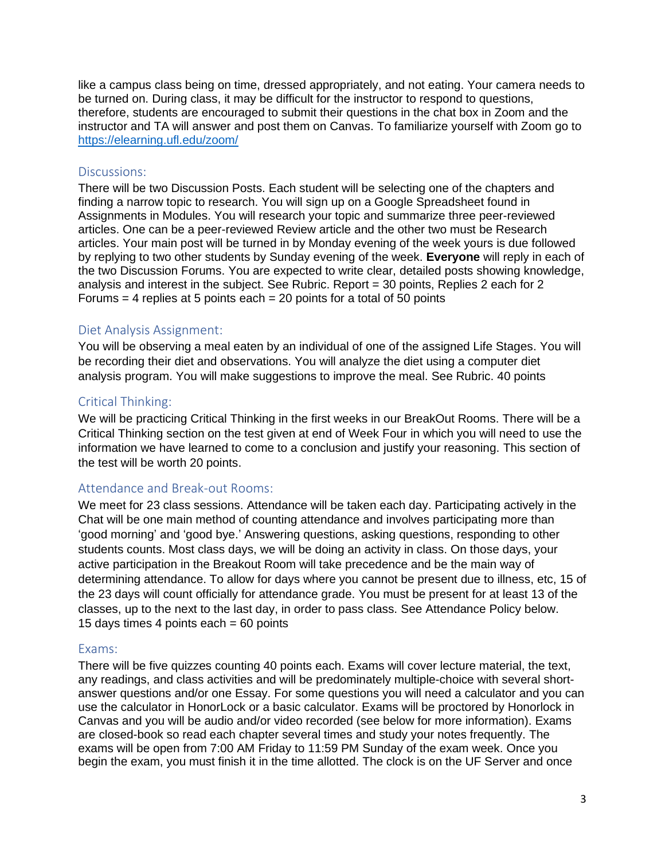like a campus class being on time, dressed appropriately, and not eating. Your camera needs to be turned on. During class, it may be difficult for the instructor to respond to questions, therefore, students are encouraged to submit their questions in the chat box in Zoom and the instructor and TA will answer and post them on Canvas. To familiarize yourself with Zoom go to <https://elearning.ufl.edu/zoom/>

#### Discussions:

There will be two Discussion Posts. Each student will be selecting one of the chapters and finding a narrow topic to research. You will sign up on a Google Spreadsheet found in Assignments in Modules. You will research your topic and summarize three peer-reviewed articles. One can be a peer-reviewed Review article and the other two must be Research articles. Your main post will be turned in by Monday evening of the week yours is due followed by replying to two other students by Sunday evening of the week. **Everyone** will reply in each of the two Discussion Forums. You are expected to write clear, detailed posts showing knowledge, analysis and interest in the subject. See Rubric. Report = 30 points, Replies 2 each for 2 Forums  $=$  4 replies at 5 points each  $=$  20 points for a total of 50 points

#### Diet Analysis Assignment:

You will be observing a meal eaten by an individual of one of the assigned Life Stages. You will be recording their diet and observations. You will analyze the diet using a computer diet analysis program. You will make suggestions to improve the meal. See Rubric. 40 points

#### Critical Thinking:

We will be practicing Critical Thinking in the first weeks in our BreakOut Rooms. There will be a Critical Thinking section on the test given at end of Week Four in which you will need to use the information we have learned to come to a conclusion and justify your reasoning. This section of the test will be worth 20 points.

#### Attendance and Break-out Rooms:

We meet for 23 class sessions. Attendance will be taken each day. Participating actively in the Chat will be one main method of counting attendance and involves participating more than 'good morning' and 'good bye.' Answering questions, asking questions, responding to other students counts. Most class days, we will be doing an activity in class. On those days, your active participation in the Breakout Room will take precedence and be the main way of determining attendance. To allow for days where you cannot be present due to illness, etc, 15 of the 23 days will count officially for attendance grade. You must be present for at least 13 of the classes, up to the next to the last day, in order to pass class. See Attendance Policy below. 15 days times 4 points each = 60 points

#### Exams:

There will be five quizzes counting 40 points each. Exams will cover lecture material, the text, any readings, and class activities and will be predominately multiple-choice with several shortanswer questions and/or one Essay. For some questions you will need a calculator and you can use the calculator in HonorLock or a basic calculator. Exams will be proctored by Honorlock in Canvas and you will be audio and/or video recorded (see below for more information). Exams are closed-book so read each chapter several times and study your notes frequently. The exams will be open from 7:00 AM Friday to 11:59 PM Sunday of the exam week. Once you begin the exam, you must finish it in the time allotted. The clock is on the UF Server and once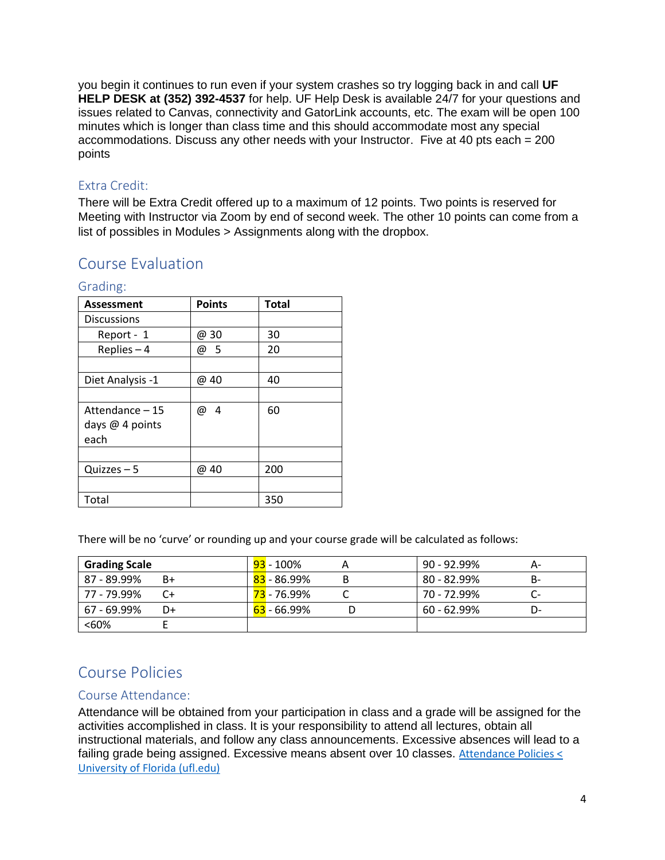you begin it continues to run even if your system crashes so try logging back in and call **UF HELP DESK at (352) 392-4537** for help. UF Help Desk is available 24/7 for your questions and issues related to Canvas, connectivity and GatorLink accounts, etc. The exam will be open 100 minutes which is longer than class time and this should accommodate most any special accommodations. Discuss any other needs with your Instructor. Five at 40 pts each = 200 points

## Extra Credit:

There will be Extra Credit offered up to a maximum of 12 points. Two points is reserved for Meeting with Instructor via Zoom by end of second week. The other 10 points can come from a list of possibles in Modules > Assignments along with the dropbox.

## Course Evaluation

| <b>Assessment</b>  | <b>Points</b> | <b>Total</b> |
|--------------------|---------------|--------------|
| <b>Discussions</b> |               |              |
| Report - 1         | @ 30          | 30           |
| Replies $-4$       | @ 5           | 20           |
|                    |               |              |
| Diet Analysis -1   | @ 40          | 40           |
|                    |               |              |
| Attendance - 15    | 4<br>@        | 60           |
| days @ 4 points    |               |              |
| each               |               |              |
|                    |               |              |
| $Quizzes - 5$      | @ 40          | 200          |
|                    |               |              |
| Total              |               | 350          |

## Grading:

There will be no 'curve' or rounding up and your course grade will be calculated as follows:

| <b>Grading Scale</b> |    | <b>93</b> - 100%         | $90 - 92.99\%$ |     |
|----------------------|----|--------------------------|----------------|-----|
| 87 - 89.99%          | B+ | <mark>83</mark> - 86.99% | $80 - 82.99\%$ | B-  |
| 77 - 79.99%          |    | <mark>73</mark> - 76.99% | 70 - 72.99%    | UT. |
| 67 - 69.99%          | D+ | <mark>63</mark> - 66.99% | $60 - 62.99\%$ |     |
| <60%                 |    |                          |                |     |

# Course Policies

## Course Attendance:

Attendance will be obtained from your participation in class and a grade will be assigned for the activities accomplished in class. It is your responsibility to attend all lectures, obtain all instructional materials, and follow any class announcements. Excessive absences will lead to a failing grade being assigned. Excessive means absent over 10 classes. [Attendance Policies <](https://catalog.ufl.edu/UGRD/academic-regulations/attendance-policies/) [University of Florida \(ufl.edu\)](https://catalog.ufl.edu/UGRD/academic-regulations/attendance-policies/)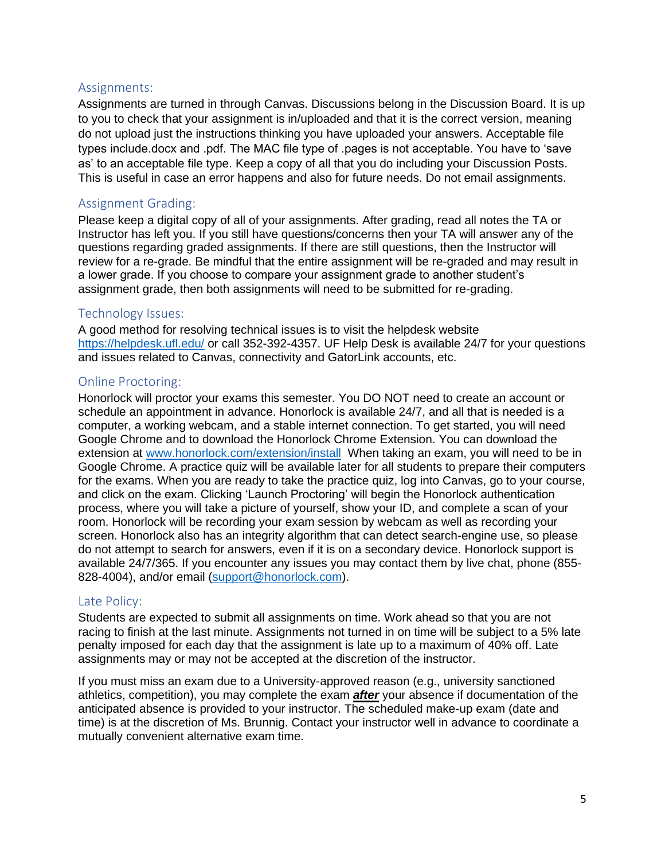## Assignments:

Assignments are turned in through Canvas. Discussions belong in the Discussion Board. It is up to you to check that your assignment is in/uploaded and that it is the correct version, meaning do not upload just the instructions thinking you have uploaded your answers. Acceptable file types include.docx and .pdf. The MAC file type of .pages is not acceptable. You have to 'save as' to an acceptable file type. Keep a copy of all that you do including your Discussion Posts. This is useful in case an error happens and also for future needs. Do not email assignments.

### Assignment Grading:

Please keep a digital copy of all of your assignments. After grading, read all notes the TA or Instructor has left you. If you still have questions/concerns then your TA will answer any of the questions regarding graded assignments. If there are still questions, then the Instructor will review for a re-grade. Be mindful that the entire assignment will be re-graded and may result in a lower grade. If you choose to compare your assignment grade to another student's assignment grade, then both assignments will need to be submitted for re-grading.

#### Technology Issues:

A good method for resolving technical issues is to visit the helpdesk website <https://helpdesk.ufl.edu/> or call 352-392-4357. UF Help Desk is available 24/7 for your questions and issues related to Canvas, connectivity and GatorLink accounts, etc.

### Online Proctoring:

Honorlock will proctor your exams this semester. You DO NOT need to create an account or schedule an appointment in advance. Honorlock is available 24/7, and all that is needed is a computer, a working webcam, and a stable internet connection. To get started, you will need Google Chrome and to download the Honorlock Chrome Extension. You can download the extension at [www.honorlock.com/extension/install](http://www.honorlock.com/extension/install) When taking an exam, you will need to be in Google Chrome. A practice quiz will be available later for all students to prepare their computers for the exams. When you are ready to take the practice quiz, log into Canvas, go to your course, and click on the exam. Clicking 'Launch Proctoring' will begin the Honorlock authentication process, where you will take a picture of yourself, show your ID, and complete a scan of your room. Honorlock will be recording your exam session by webcam as well as recording your screen. Honorlock also has an integrity algorithm that can detect search-engine use, so please do not attempt to search for answers, even if it is on a secondary device. Honorlock support is available 24/7/365. If you encounter any issues you may contact them by live chat, phone (855- 828-4004), and/or email [\(support@honorlock.com\)](mailto:support@honorlock.com).

#### Late Policy:

Students are expected to submit all assignments on time. Work ahead so that you are not racing to finish at the last minute. Assignments not turned in on time will be subject to a 5% late penalty imposed for each day that the assignment is late up to a maximum of 40% off. Late assignments may or may not be accepted at the discretion of the instructor.

If you must miss an exam due to a University-approved reason (e.g., university sanctioned athletics, competition), you may complete the exam *after* your absence if documentation of the anticipated absence is provided to your instructor. The scheduled make-up exam (date and time) is at the discretion of Ms. Brunnig. Contact your instructor well in advance to coordinate a mutually convenient alternative exam time.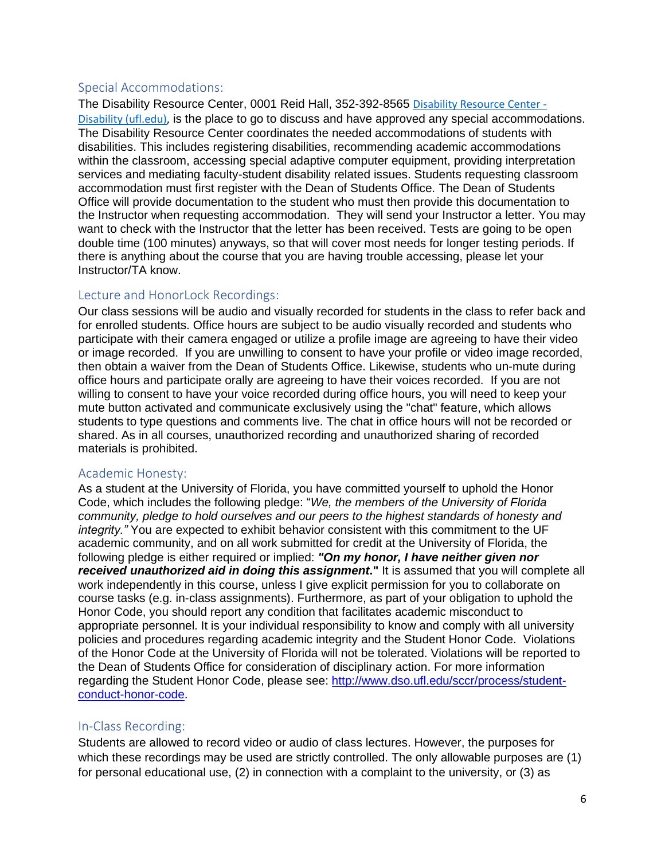### Special Accommodations:

The Disability Resource Center, 0001 Reid Hall, 352-392-8565 [Disability Resource Center -](https://disability.ufl.edu/) [Disability \(ufl.edu\),](https://disability.ufl.edu/) is the place to go to discuss and have approved any special accommodations. The Disability Resource Center coordinates the needed accommodations of students with disabilities. This includes registering disabilities, recommending academic accommodations within the classroom, accessing special adaptive computer equipment, providing interpretation services and mediating faculty-student disability related issues. Students requesting classroom accommodation must first register with the Dean of Students Office. The Dean of Students Office will provide documentation to the student who must then provide this documentation to the Instructor when requesting accommodation. They will send your Instructor a letter. You may want to check with the Instructor that the letter has been received. Tests are going to be open double time (100 minutes) anyways, so that will cover most needs for longer testing periods. If there is anything about the course that you are having trouble accessing, please let your Instructor/TA know.

## Lecture and HonorLock Recordings:

Our class sessions will be audio and visually recorded for students in the class to refer back and for enrolled students. Office hours are subject to be audio visually recorded and students who participate with their camera engaged or utilize a profile image are agreeing to have their video or image recorded. If you are unwilling to consent to have your profile or video image recorded, then obtain a waiver from the Dean of Students Office. Likewise, students who un-mute during office hours and participate orally are agreeing to have their voices recorded. If you are not willing to consent to have your voice recorded during office hours, you will need to keep your mute button activated and communicate exclusively using the "chat" feature, which allows students to type questions and comments live. The chat in office hours will not be recorded or shared. As in all courses, unauthorized recording and unauthorized sharing of recorded materials is prohibited.

## Academic Honesty:

As a student at the University of Florida, you have committed yourself to uphold the Honor Code, which includes the following pledge: "*We, the members of the University of Florida community, pledge to hold ourselves and our peers to the highest standards of honesty and integrity."* You are expected to exhibit behavior consistent with this commitment to the UF academic community, and on all work submitted for credit at the University of Florida, the following pledge is either required or implied: *"On my honor, I have neither given nor received unauthorized aid in doing this assignment***."** It is assumed that you will complete all work independently in this course, unless I give explicit permission for you to collaborate on course tasks (e.g. in-class assignments). Furthermore, as part of your obligation to uphold the Honor Code, you should report any condition that facilitates academic misconduct to appropriate personnel. It is your individual responsibility to know and comply with all university policies and procedures regarding academic integrity and the Student Honor Code. Violations of the Honor Code at the University of Florida will not be tolerated. Violations will be reported to the Dean of Students Office for consideration of disciplinary action. For more information regarding the Student Honor Code, please see: [http://www.dso.ufl.edu/sccr/process/student](http://www.dso.ufl.edu/sccr/process/student-conduct-honor-code)[conduct-honor-code.](http://www.dso.ufl.edu/sccr/process/student-conduct-honor-code)

## In-Class Recording:

Students are allowed to record video or audio of class lectures. However, the purposes for which these recordings may be used are strictly controlled. The only allowable purposes are (1) for personal educational use, (2) in connection with a complaint to the university, or (3) as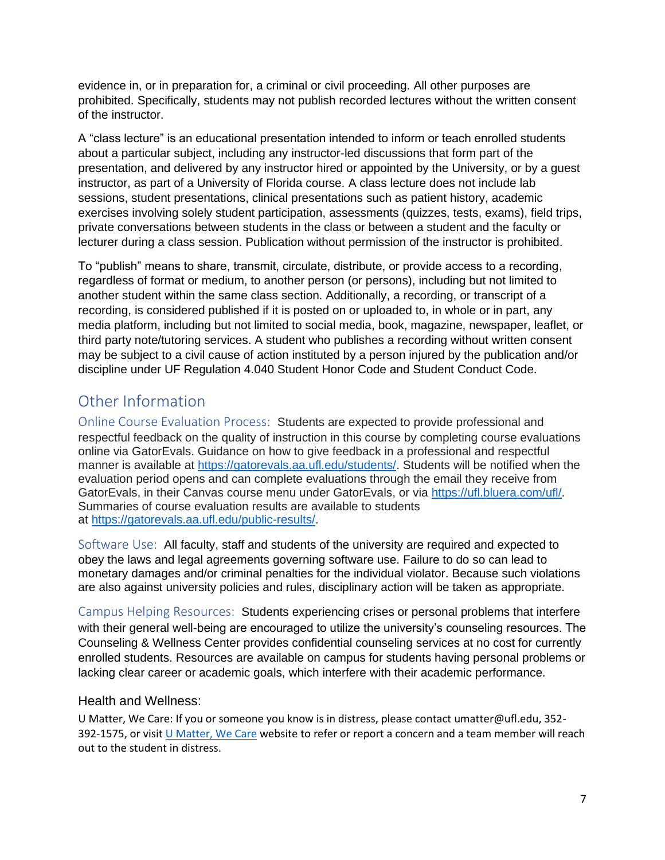evidence in, or in preparation for, a criminal or civil proceeding. All other purposes are prohibited. Specifically, students may not publish recorded lectures without the written consent of the instructor.

A "class lecture" is an educational presentation intended to inform or teach enrolled students about a particular subject, including any instructor-led discussions that form part of the presentation, and delivered by any instructor hired or appointed by the University, or by a guest instructor, as part of a University of Florida course. A class lecture does not include lab sessions, student presentations, clinical presentations such as patient history, academic exercises involving solely student participation, assessments (quizzes, tests, exams), field trips, private conversations between students in the class or between a student and the faculty or lecturer during a class session. Publication without permission of the instructor is prohibited.

To "publish" means to share, transmit, circulate, distribute, or provide access to a recording, regardless of format or medium, to another person (or persons), including but not limited to another student within the same class section. Additionally, a recording, or transcript of a recording, is considered published if it is posted on or uploaded to, in whole or in part, any media platform, including but not limited to social media, book, magazine, newspaper, leaflet, or third party note/tutoring services. A student who publishes a recording without written consent may be subject to a civil cause of action instituted by a person injured by the publication and/or discipline under UF Regulation 4.040 Student Honor Code and Student Conduct Code.

# Other Information

Online Course Evaluation Process:Students are expected to provide professional and respectful feedback on the quality of instruction in this course by completing course evaluations online via GatorEvals. Guidance on how to give feedback in a professional and respectful manner is available at [https://gatorevals.aa.ufl.edu/students/.](https://gatorevals.aa.ufl.edu/students/) Students will be notified when the evaluation period opens and can complete evaluations through the email they receive from GatorEvals, in their Canvas course menu under GatorEvals, or via [https://ufl.bluera.com/ufl/.](https://ufl.bluera.com/ufl/) Summaries of course evaluation results are available to students at [https://gatorevals.aa.ufl.edu/public-results/.](https://gatorevals.aa.ufl.edu/public-results/)

Software Use:All faculty, staff and students of the university are required and expected to obey the laws and legal agreements governing software use. Failure to do so can lead to monetary damages and/or criminal penalties for the individual violator. Because such violations are also against university policies and rules, disciplinary action will be taken as appropriate.

Campus Helping Resources:Students experiencing crises or personal problems that interfere with their general well-being are encouraged to utilize the university's counseling resources. The Counseling & Wellness Center provides confidential counseling services at no cost for currently enrolled students. Resources are available on campus for students having personal problems or lacking clear career or academic goals, which interfere with their academic performance.

## Health and Wellness:

U Matter, We Care: If you or someone you know is in distress, please contact umatter@ufl.edu, 352- 392-1575, or visit [U Matter, We Care](https://umatter.ufl.edu/) website to refer or report a concern and a team member will reach out to the student in distress.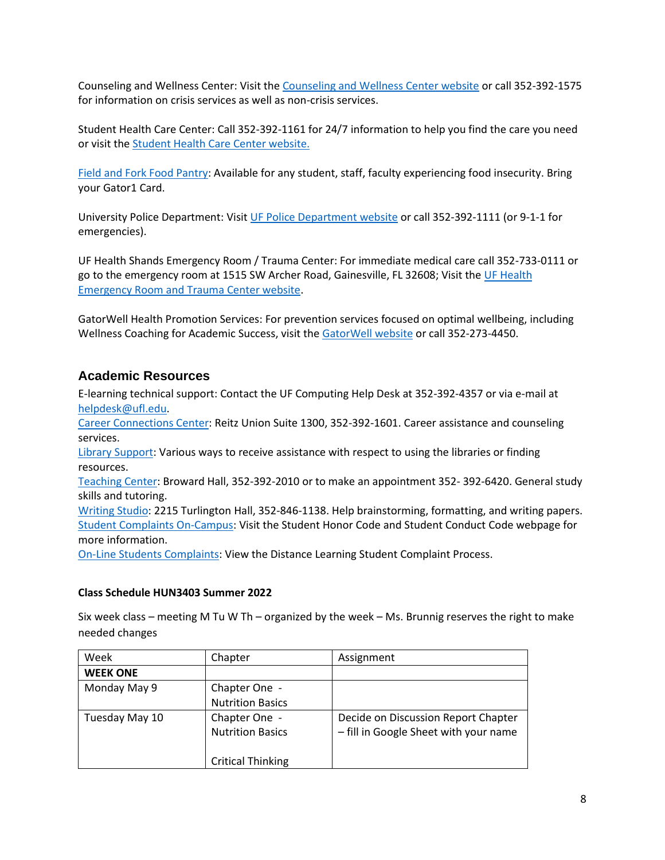Counseling and Wellness Center: Visit the [Counseling and Wellness Center website](https://counseling.ufl.edu/) or call 352-392-1575 for information on crisis services as well as non-crisis services.

Student Health Care Center: Call 352-392-1161 for 24/7 information to help you find the care you need or visit the [Student Health Care Center website.](https://shcc.ufl.edu/)

[Field and Fork Food Pantry:](https://pantry.fieldandfork.ufl.edu/) Available for any student, staff, faculty experiencing food insecurity. Bring your Gator1 Card.

University Police Department: Visi[t UF Police Department website](https://police.ufl.edu/) or call 352-392-1111 (or 9-1-1 for emergencies).

UF Health Shands Emergency Room / Trauma Center: For immediate medical care call 352-733-0111 or go to the emergency room at 1515 SW Archer Road, Gainesville, FL 32608; Visit the [UF Health](https://ufhealth.org/emergency-room-trauma-center)  [Emergency Room and Trauma Center website.](https://ufhealth.org/emergency-room-trauma-center)

GatorWell Health Promotion Services: For prevention services focused on optimal wellbeing, including Wellness Coaching for Academic Success, visit the [GatorWell website](https://gatorwell.ufsa.ufl.edu/) or call 352-273-4450.

## **Academic Resources**

E-learning technical support: Contact the UF Computing Help Desk at 352-392-4357 or via e-mail at [helpdesk@ufl.edu.](mailto:helpdesk@ufl.edu)

[Career Connections Center:](https://career.ufl.edu/) Reitz Union Suite 1300, 352-392-1601. Career assistance and counseling services.

[Library Support:](https://uflib.ufl.edu/find/ask/) Various ways to receive assistance with respect to using the libraries or finding resources.

[Teaching Center:](https://teachingcenter.ufl.edu/) Broward Hall, 352-392-2010 or to make an appointment 352- 392-6420. General study skills and tutoring.

[Writing Studio:](https://writing.ufl.edu/writing-studio/) 2215 Turlington Hall, 352-846-1138. Help brainstorming, formatting, and writing papers. [Student Complaints On-Campus:](https://sccr.dso.ufl.edu/policies/student-honor-%20code-student-conduct-code/) Visit the Student Honor Code and Student Conduct Code webpage for more information.

[On-Line Students Complaints:](https://distance.ufl.edu/getting-help/student-complaint-process/) View the Distance Learning Student Complaint Process.

#### **Class Schedule HUN3403 Summer 2022**

Six week class – meeting M Tu W Th – organized by the week – Ms. Brunnig reserves the right to make needed changes

| Week            | Chapter                  | Assignment                            |
|-----------------|--------------------------|---------------------------------------|
| <b>WEEK ONE</b> |                          |                                       |
| Monday May 9    | Chapter One -            |                                       |
|                 | <b>Nutrition Basics</b>  |                                       |
| Tuesday May 10  | Chapter One -            | Decide on Discussion Report Chapter   |
|                 | <b>Nutrition Basics</b>  | - fill in Google Sheet with your name |
|                 |                          |                                       |
|                 | <b>Critical Thinking</b> |                                       |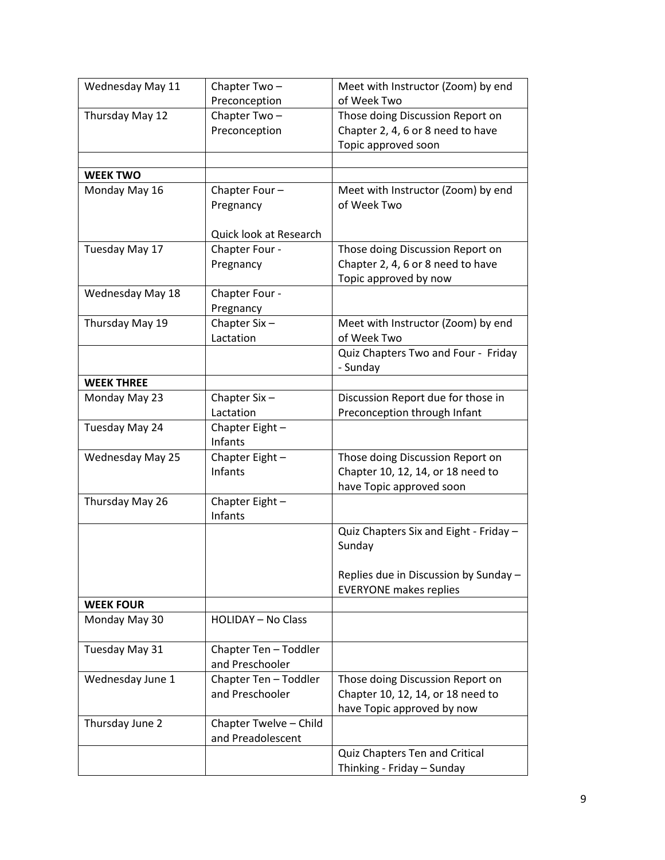| Chapter Two-    | Meet with Instructor (Zoom) by end                                                                                                                                                                                                                                                                                                                                                                      |
|-----------------|---------------------------------------------------------------------------------------------------------------------------------------------------------------------------------------------------------------------------------------------------------------------------------------------------------------------------------------------------------------------------------------------------------|
|                 | of Week Two                                                                                                                                                                                                                                                                                                                                                                                             |
|                 | Those doing Discussion Report on                                                                                                                                                                                                                                                                                                                                                                        |
|                 | Chapter 2, 4, 6 or 8 need to have                                                                                                                                                                                                                                                                                                                                                                       |
|                 | Topic approved soon                                                                                                                                                                                                                                                                                                                                                                                     |
|                 |                                                                                                                                                                                                                                                                                                                                                                                                         |
|                 |                                                                                                                                                                                                                                                                                                                                                                                                         |
|                 | Meet with Instructor (Zoom) by end                                                                                                                                                                                                                                                                                                                                                                      |
|                 | of Week Two                                                                                                                                                                                                                                                                                                                                                                                             |
|                 |                                                                                                                                                                                                                                                                                                                                                                                                         |
|                 |                                                                                                                                                                                                                                                                                                                                                                                                         |
|                 | Those doing Discussion Report on                                                                                                                                                                                                                                                                                                                                                                        |
|                 | Chapter 2, 4, 6 or 8 need to have                                                                                                                                                                                                                                                                                                                                                                       |
|                 | Topic approved by now                                                                                                                                                                                                                                                                                                                                                                                   |
|                 |                                                                                                                                                                                                                                                                                                                                                                                                         |
|                 |                                                                                                                                                                                                                                                                                                                                                                                                         |
|                 | Meet with Instructor (Zoom) by end<br>of Week Two                                                                                                                                                                                                                                                                                                                                                       |
|                 | Quiz Chapters Two and Four - Friday                                                                                                                                                                                                                                                                                                                                                                     |
|                 | - Sunday                                                                                                                                                                                                                                                                                                                                                                                                |
|                 |                                                                                                                                                                                                                                                                                                                                                                                                         |
|                 | Discussion Report due for those in                                                                                                                                                                                                                                                                                                                                                                      |
| Lactation       | Preconception through Infant                                                                                                                                                                                                                                                                                                                                                                            |
|                 |                                                                                                                                                                                                                                                                                                                                                                                                         |
| Infants         |                                                                                                                                                                                                                                                                                                                                                                                                         |
| Chapter Eight - | Those doing Discussion Report on                                                                                                                                                                                                                                                                                                                                                                        |
| Infants         | Chapter 10, 12, 14, or 18 need to                                                                                                                                                                                                                                                                                                                                                                       |
|                 | have Topic approved soon                                                                                                                                                                                                                                                                                                                                                                                |
| Chapter Eight-  |                                                                                                                                                                                                                                                                                                                                                                                                         |
| Infants         |                                                                                                                                                                                                                                                                                                                                                                                                         |
|                 | Quiz Chapters Six and Eight - Friday -                                                                                                                                                                                                                                                                                                                                                                  |
|                 | Sunday                                                                                                                                                                                                                                                                                                                                                                                                  |
|                 |                                                                                                                                                                                                                                                                                                                                                                                                         |
|                 | Replies due in Discussion by Sunday -                                                                                                                                                                                                                                                                                                                                                                   |
|                 | <b>EVERYONE makes replies</b>                                                                                                                                                                                                                                                                                                                                                                           |
|                 |                                                                                                                                                                                                                                                                                                                                                                                                         |
|                 |                                                                                                                                                                                                                                                                                                                                                                                                         |
|                 |                                                                                                                                                                                                                                                                                                                                                                                                         |
|                 |                                                                                                                                                                                                                                                                                                                                                                                                         |
|                 | Those doing Discussion Report on                                                                                                                                                                                                                                                                                                                                                                        |
|                 | Chapter 10, 12, 14, or 18 need to                                                                                                                                                                                                                                                                                                                                                                       |
|                 | have Topic approved by now                                                                                                                                                                                                                                                                                                                                                                              |
|                 |                                                                                                                                                                                                                                                                                                                                                                                                         |
|                 |                                                                                                                                                                                                                                                                                                                                                                                                         |
|                 | Quiz Chapters Ten and Critical                                                                                                                                                                                                                                                                                                                                                                          |
|                 | Thinking - Friday - Sunday                                                                                                                                                                                                                                                                                                                                                                              |
|                 | Preconception<br>Chapter Two-<br>Preconception<br>Chapter Four-<br>Pregnancy<br>Quick look at Research<br>Chapter Four -<br>Pregnancy<br>Chapter Four -<br>Pregnancy<br>Chapter Six-<br>Lactation<br>Chapter Six-<br>Chapter Eight-<br><b>HOLIDAY - No Class</b><br>Chapter Ten - Toddler<br>and Preschooler<br>Chapter Ten - Toddler<br>and Preschooler<br>Chapter Twelve - Child<br>and Preadolescent |